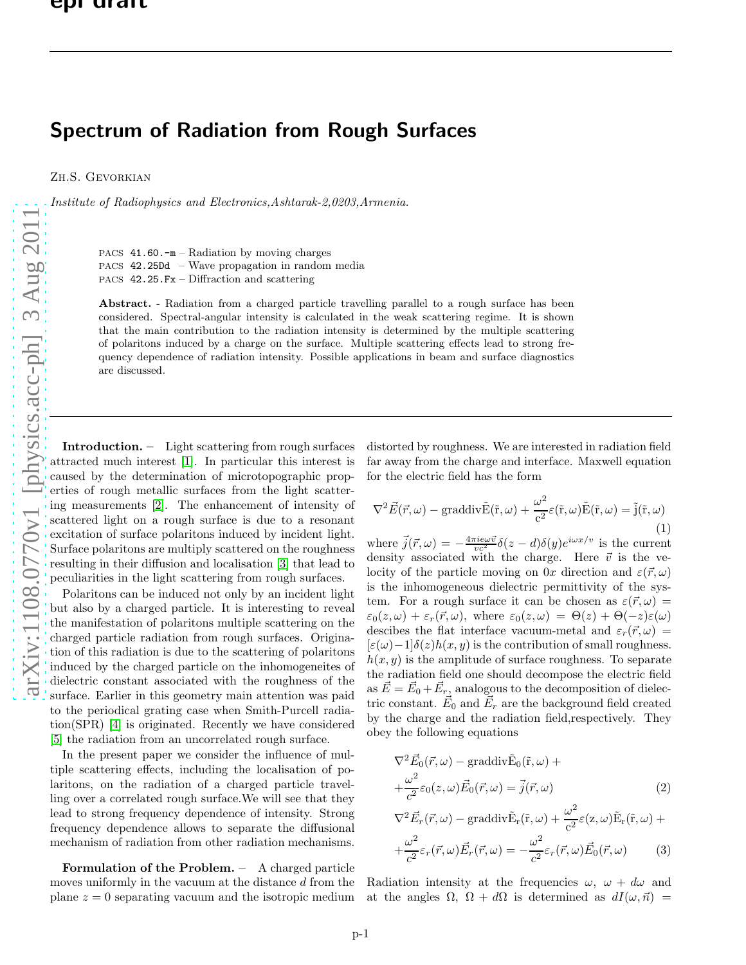## Spectrum of Radiation from Rough Surfaces

Zh.S. Gevorkian

Institute of Radiophysics and Electronics,Ashtarak-2,0203,Armenia.

PACS  $41.60.-m -$ Radiation by moving charges

PACS 42.25Dd – Wave propagation in random media

PACS 42.25.Fx – Diffraction and scattering

Abstract. - Radiation from a charged particle travelling parallel to a rough surface has been considered. Spectral-angular intensity is calculated in the weak scattering regime. It is shown that the main contribution to the radiation intensity is determined by the multiple scattering of polaritons induced by a charge on the surface. Multiple scattering effects lead to strong frequency dependence of radiation intensity. Possible applications in beam and surface diagnostics are discussed.

Introduction. – Light scattering from rough surfaces attracted much interest [\[1\]](#page-5-0). In particular this interest is caused by the determination of microtopographic properties of rough metallic surfaces from the light scattering measurements [\[2\]](#page-5-1). The enhancement of intensity of scattered light on a rough surface is due to a resonant excitation of surface polaritons induced by incident light. Surface polaritons are multiply scattered on the roughness resulting in their diffusion and localisation [\[3\]](#page-5-2) that lead to peculiarities in the light scattering from rough surfaces.

Polaritons can be induced not only by an incident light but also by a charged particle. It is interesting to reveal the manifestation of polaritons multiple scattering on the charged particle radiation from rough surfaces. Origination of this radiation is due to the scattering of polaritons induced by the charged particle on the inhomogeneites of dielectric constant associated with the roughness of the surface. Earlier in this geometry main attention was paid to the periodical grating case when Smith-Purcell radiation(SPR) [\[4\]](#page-5-3) is originated. Recently we have considered [\[5\]](#page-5-4) the radiation from an uncorrelated rough surface.

In the present paper we consider the influence of multiple scattering effects, including the localisation of polaritons, on the radiation of a charged particle travelling over a correlated rough surface.We will see that they lead to strong frequency dependence of intensity. Strong frequency dependence allows to separate the diffusional mechanism of radiation from other radiation mechanisms.

Formulation of the Problem. – A charged particle moves uniformly in the vacuum at the distance  $d$  from the plane  $z = 0$  separating vacuum and the isotropic medium distorted by roughness. We are interested in radiation field far away from the charge and interface. Maxwell equation for the electric field has the form

$$
\nabla^2 \vec{E}(\vec{r}, \omega) - \text{graddiv}\tilde{E}(\tilde{r}, \omega) + \frac{\omega^2}{c^2} \varepsilon(\tilde{r}, \omega) \tilde{E}(\tilde{r}, \omega) = \tilde{j}(\tilde{r}, \omega)
$$
\n(1)

where  $\vec{j}(\vec{r},\omega) = -\frac{4\pi i e\omega \vec{v}}{vc^2} \delta(z-d)\delta(y)e^{i\omega x/v}$  is the current density associated with the charge. Here  $\vec{v}$  is the velocity of the particle moving on 0x direction and  $\varepsilon(\vec{r}, \omega)$ is the inhomogeneous dielectric permittivity of the system. For a rough surface it can be chosen as  $\varepsilon(\vec{r}, \omega)$  =  $\varepsilon_0(z,\omega) + \varepsilon_r(\vec{r},\omega)$ , where  $\varepsilon_0(z,\omega) = \Theta(z) + \Theta(-z)\varepsilon(\omega)$ descibes the flat interface vacuum-metal and  $\varepsilon_r(\vec{r}, \omega)$  =  $[\varepsilon(\omega)-1]\delta(z)h(x,y)$  is the contribution of small roughness.  $h(x, y)$  is the amplitude of surface roughness. To separate the radiation field one should decompose the electric field as  $\vec{E} = \vec{E}_0 + \vec{E}_r$ , analogous to the decomposition of dielectric constant.  $\vec{E}_0$  and  $\vec{E}_r$  are the background field created by the charge and the radiation field,respectively. They obey the following equations

<span id="page-0-0"></span>
$$
\nabla^2 \vec{E}_0(\vec{r}, \omega) - \text{graddiv}\tilde{E}_0(\tilde{r}, \omega) + + \frac{\omega^2}{c^2} \varepsilon_0(z, \omega) \vec{E}_0(\vec{r}, \omega) = \vec{j}(\vec{r}, \omega)
$$
 (2)

$$
\nabla^2 \vec{E}_r(\vec{r}, \omega) - \text{graddiv}\tilde{E}_r(\tilde{r}, \omega) + \frac{\omega^2}{c^2} \varepsilon(z, \omega) \tilde{E}_r(\tilde{r}, \omega) + + \frac{\omega^2}{c^2} \varepsilon_r(\vec{r}, \omega) \vec{E}_r(\vec{r}, \omega) = -\frac{\omega^2}{c^2} \varepsilon_r(\vec{r}, \omega) \vec{E}_0(\vec{r}, \omega)
$$
(3)

Radiation intensity at the frequencies  $\omega, \ \omega + d\omega$  and at the angles  $\Omega$ ,  $\Omega + d\Omega$  is determined as  $dI(\omega, \vec{n}) =$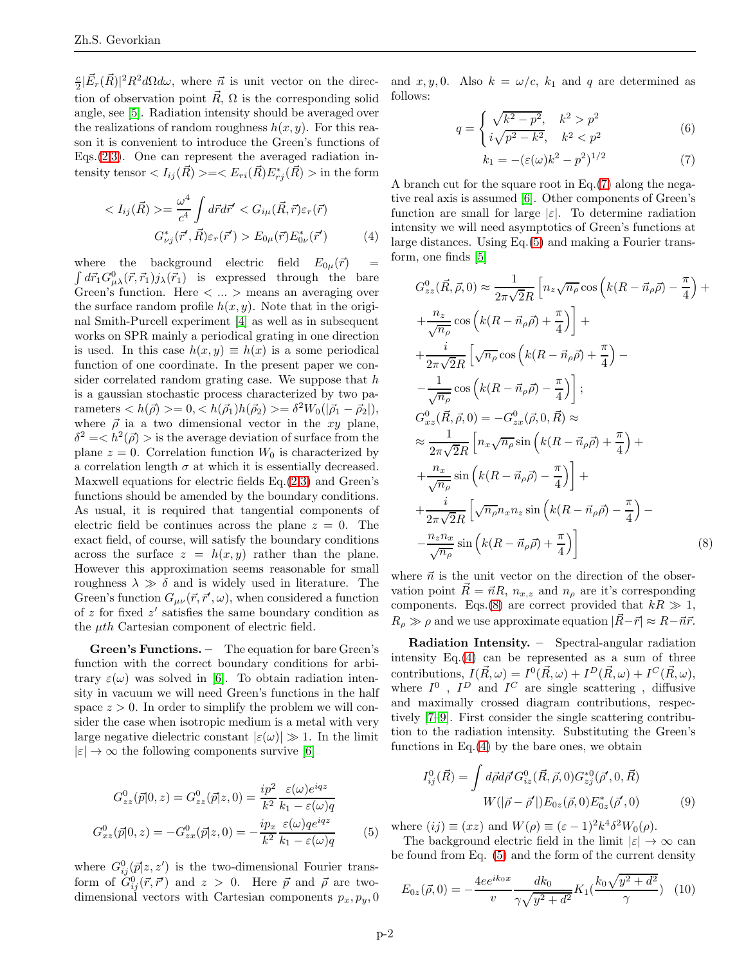$\frac{c}{2}|\vec{E}_r(\vec{R})|^2 R^2 d\Omega d\omega$ , where  $\vec{n}$  is unit vector on the direction of observation point  $\vec{R}$ ,  $\Omega$  is the corresponding solid angle, see [\[5\]](#page-5-4). Radiation intensity should be averaged over the realizations of random roughness  $h(x, y)$ . For this reason it is convenient to introduce the Green's functions of Eqs. $(2,3)$ . One can represent the averaged radiation intensity tensor  $\langle I_{ij}(\vec{R})\rangle = \langle E_{ri}(\vec{R})E_{rj}^*(\vec{R})\rangle$  in the form

<span id="page-1-3"></span>
$$
\langle I_{ij}(\vec{R}) \rangle = \frac{\omega^4}{c^4} \int d\vec{r} d\vec{r}' \langle G_{i\mu}(\vec{R}, \vec{r}) \varepsilon_r(\vec{r})
$$

$$
G_{\nu j}^*(\vec{r}', \vec{R}) \varepsilon_r(\vec{r}') \rangle E_{0\mu}(\vec{r}) E_{0\nu}^*(\vec{r}') \tag{4}
$$

 $\int d\vec{r}_1 G^0_{\mu\lambda}(\vec{r}, \vec{r}_1) j_{\lambda}(\vec{r}_1)$  is expressed through the bare where the background electric field  $E_{0\mu}(\vec{r})$ Green's function. Here  $\langle \dots \rangle$  means an averaging over the surface random profile  $h(x, y)$ . Note that in the original Smith-Purcell experiment [\[4\]](#page-5-3) as well as in subsequent works on SPR mainly a periodical grating in one direction is used. In this case  $h(x, y) \equiv h(x)$  is a some periodical function of one coordinate. In the present paper we consider correlated random grating case. We suppose that  $h$ is a gaussian stochastic process characterized by two parameters  $\langle h(\vec{\rho}) \rangle = 0, \langle h(\vec{\rho}_1) h(\vec{\rho}_2) \rangle = \delta^2 W_0(|\vec{\rho}_1 - \vec{\rho}_2|),$ where  $\vec{\rho}$  ia a two dimensional vector in the xy plane,  $\delta^2 = \langle h^2(\vec{\rho}) \rangle$  is the average deviation of surface from the plane  $z = 0$ . Correlation function  $W_0$  is characterized by a correlation length  $\sigma$  at which it is essentially decreased. Maxwell equations for electric fields  $Eq.(2,3)$  $Eq.(2,3)$  and Green's functions should be amended by the boundary conditions. As usual, it is required that tangential components of electric field be continues across the plane  $z = 0$ . The exact field, of course, will satisfy the boundary conditions across the surface  $z = h(x, y)$  rather than the plane. However this approximation seems reasonable for small roughness  $\lambda \gg \delta$  and is widely used in literature. The Green's function  $G_{\mu\nu}(\vec{r}, \vec{r}', \omega)$ , when considered a function of z for fixed z ′ satisfies the same boundary condition as the  $\mu$ th Cartesian component of electric field.

Green's Functions. – The equation for bare Green's function with the correct boundary conditions for arbitrary  $\varepsilon(\omega)$  was solved in [\[6\]](#page-5-5). To obtain radiation intensity in vacuum we will need Green's functions in the half space  $z > 0$ . In order to simplify the problem we will consider the case when isotropic medium is a metal with very large negative dielectric constant  $|\varepsilon(\omega)| \gg 1$ . In the limit  $|\varepsilon| \to \infty$  the following components survive [\[6\]](#page-5-5)

<span id="page-1-1"></span>
$$
G_{zz}^{0}(\vec{p}|0,z) = G_{zz}^{0}(\vec{p}|z,0) = \frac{ip^{2}}{k^{2}} \frac{\varepsilon(\omega)e^{iqz}}{k_{1} - \varepsilon(\omega)q}
$$

$$
G_{xz}^{0}(\vec{p}|0,z) = -G_{zx}^{0}(\vec{p}|z,0) = -\frac{ip_{x}}{k^{2}} \frac{\varepsilon(\omega)qe^{iqz}}{k_{1} - \varepsilon(\omega)q}
$$
(5)

where  $G_{ij}^0(\vec{p}|z,z')$  is the two-dimensional Fourier transform of  $G_{ij}^0(\vec{r}, \vec{r}')$  and  $z > 0$ . Here  $\vec{p}$  and  $\vec{\rho}$  are twodimensional vectors with Cartesian components  $p_x, p_y, 0$  and  $x, y, 0$ . Also  $k = \omega/c$ ,  $k_1$  and q are determined as follows:

<span id="page-1-0"></span>
$$
q = \begin{cases} \sqrt{k^2 - p^2}, & k^2 > p^2\\ i\sqrt{p^2 - k^2}, & k^2 < p^2 \end{cases}
$$
 (6)

$$
k_1 = -(\varepsilon(\omega)k^2 - p^2)^{1/2}
$$
 (7)

A branch cut for the square root in Eq.[\(7\)](#page-1-0) along the negative real axis is assumed [\[6\]](#page-5-5). Other components of Green's function are small for large  $|\varepsilon|$ . To determine radiation intensity we will need asymptotics of Green's functions at large distances. Using Eq.[\(5\)](#page-1-1) and making a Fourier transform, one finds [\[5\]](#page-5-4)

<span id="page-1-2"></span>
$$
G_{zz}^{0}(\vec{R}, \vec{\rho}, 0) \approx \frac{1}{2\pi\sqrt{2}R} \left[ n_z \sqrt{n_\rho} \cos \left( k(R - \vec{n}_\rho \vec{\rho}) - \frac{\pi}{4} \right) + \frac{n_z}{\sqrt{n_\rho}} \cos \left( k(R - \vec{n}_\rho \vec{\rho}) + \frac{\pi}{4} \right) \right] +
$$
  
+ 
$$
\frac{i}{2\pi\sqrt{2}R} \left[ \sqrt{n_\rho} \cos \left( k(R - \vec{n}_\rho \vec{\rho}) + \frac{\pi}{4} \right) - \frac{1}{\sqrt{n_\rho}} \cos \left( k(R - \vec{n}_\rho \vec{\rho}) - \frac{\pi}{4} \right) \right];
$$
  

$$
G_{xz}^{0}(\vec{R}, \vec{\rho}, 0) = -G_{zx}^{0}(\vec{\rho}, 0, \vec{R}) \approx
$$
  

$$
\approx \frac{1}{2\pi\sqrt{2}R} \left[ n_x \sqrt{n_\rho} \sin \left( k(R - \vec{n}_\rho \vec{\rho}) + \frac{\pi}{4} \right) + \frac{n_x}{\sqrt{n_\rho}} \sin \left( k(R - \vec{n}_\rho \vec{\rho}) - \frac{\pi}{4} \right) \right] +
$$
  
+ 
$$
\frac{i}{2\pi\sqrt{2}R} \left[ \sqrt{n_\rho} n_x n_z \sin \left( k(R - \vec{n}_\rho \vec{\rho}) - \frac{\pi}{4} \right) - \frac{n_z n_x}{\sqrt{n_\rho}} \sin \left( k(R - \vec{n}_\rho \vec{\rho}) + \frac{\pi}{4} \right) \right]
$$
(8)

where  $\vec{n}$  is the unit vector on the direction of the observation point  $R = \vec{n}R$ ,  $n_{x,z}$  and  $n_\rho$  are it's corresponding components. Eqs.[\(8\)](#page-1-2) are correct provided that  $kR \gg 1$ ,  $R_{\rho} \gg \rho$  and we use approximate equation  $|\vec{R}-\vec{r}| \approx R-\vec{n}\vec{r}$ .

Radiation Intensity. – Spectral-angular radiation intensity Eq.[\(4\)](#page-1-3) can be represented as a sum of three contributions,  $I(\vec{R}, \omega) = I^0(\vec{R}, \omega) + I^D(\vec{R}, \omega) + I^C(\vec{R}, \omega),$ where  $I^0$ ,  $I^D$  and  $I^C$  are single scattering, diffusive and maximally crossed diagram contributions, respectively [\[7](#page-5-6)[–9\]](#page-5-7). First consider the single scattering contribution to the radiation intensity. Substituting the Green's functions in  $Eq.(4)$  $Eq.(4)$  by the bare ones, we obtain

<span id="page-1-5"></span>
$$
I_{ij}^{0}(\vec{R}) = \int d\vec{\rho} d\vec{\rho}' G_{iz}^{0}(\vec{R}, \vec{\rho}, 0) G_{zj}^{*0}(\vec{\rho}', 0, \vec{R})
$$
  

$$
W(|\vec{\rho} - \vec{\rho}'|) E_{0z}(\vec{\rho}, 0) E_{0z}^{*}(\vec{\rho}', 0)
$$
 (9)

where  $(ij) \equiv (xz)$  and  $W(\rho) \equiv (\varepsilon - 1)^2 k^4 \delta^2 W_0(\rho)$ .

The background electric field in the limit  $|\varepsilon| \to \infty$  can be found from Eq. [\(5\)](#page-1-1) and the form of the current density

<span id="page-1-4"></span>
$$
E_{0z}(\vec{\rho},0) = -\frac{4ee^{ik_0x}}{v} \frac{dk_0}{\gamma\sqrt{y^2 + d^2}} K_1(\frac{k_0\sqrt{y^2 + d^2}}{\gamma}) \quad (10)
$$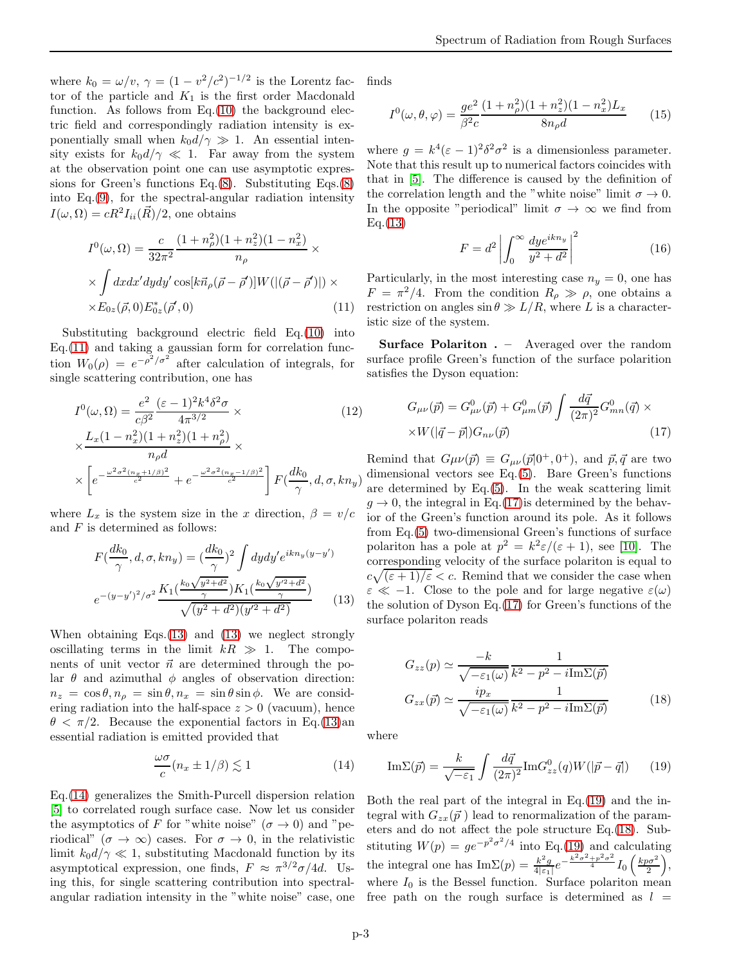where  $k_0 = \omega/v$ ,  $\gamma = (1 - v^2/c^2)^{-1/2}$  is the Lorentz factor of the particle and  $K_1$  is the first order Macdonald function. As follows from  $Eq.(10)$  $Eq.(10)$  the background electric field and correspondingly radiation intensity is exponentially small when  $k_0d/\gamma \gg 1$ . An essential intensity exists for  $k_0 d/\gamma \ll 1$ . Far away from the system at the observation point one can use asymptotic expressions for Green's functions Eq.[\(8\)](#page-1-2). Substituting Eqs.[\(8\)](#page-1-2) into Eq.[\(9\)](#page-1-5), for the spectral-angular radiation intensity  $I(\omega, \Omega) = cR^2 I_{ii}(\vec{R})/2$ , one obtains

<span id="page-2-0"></span>
$$
I^{0}(\omega,\Omega) = \frac{c}{32\pi^{2}} \frac{(1+n_{\rho}^{2})(1+n_{z}^{2})(1-n_{x}^{2})}{n_{\rho}} \times
$$
  
 
$$
\times \int dxdx'dydy'\cos[k\vec{n}_{\rho}(\vec{\rho}-\vec{\rho}')]W(|(\vec{\rho}-\vec{\rho}')) \times
$$
  
 
$$
\times E_{0z}(\vec{\rho},0)E_{0z}^{*}(\vec{\rho}',0)
$$
 (11)

Substituting background electric field Eq.[\(10\)](#page-1-4) into  $Eq.(11)$  $Eq.(11)$  and taking a gaussian form for correlation function  $W_0(\rho) = e^{-\rho^2/\sigma^2}$  after calculation of integrals, for single scattering contribution, one has

<span id="page-2-1"></span>
$$
I^{0}(\omega,\Omega) = \frac{e^{2}}{c\beta^{2}} \frac{(\varepsilon - 1)^{2} k^{4} \delta^{2} \sigma}{4\pi^{3/2}} \times
$$
(12)  
\n
$$
\times \frac{L_{x}(1 - n_{x}^{2})(1 + n_{z}^{2})(1 + n_{\rho}^{2})}{n_{\rho}d} \times
$$
  
\n
$$
\times \left[ e^{-\frac{\omega^{2} \sigma^{2}(n_{x} + 1/\beta)^{2}}{c^{2}}} + e^{-\frac{\omega^{2} \sigma^{2}(n_{x} - 1/\beta)^{2}}{c^{2}}} \right] F(\frac{dk_{0}}{\gamma}, d, \sigma, kn_{y})
$$

where  $L_x$  is the system size in the x direction,  $\beta = v/c$ and  $F$  is determined as follows:

<span id="page-2-2"></span>
$$
F(\frac{dk_0}{\gamma}, d, \sigma, kn_y) = (\frac{dk_0}{\gamma})^2 \int dy dy' e^{ikn_y(y-y')}
$$

$$
e^{-(y-y')^2/\sigma^2} \frac{K_1(\frac{k_0\sqrt{y^2+d^2}}{\gamma})K_1(\frac{k_0\sqrt{y'^2+d^2}}{\gamma})}{\sqrt{(y^2+d^2)(y'^2+d^2)}}
$$
(13)

When obtaining Eqs.[\(13\)](#page-2-1) and [\(13\)](#page-2-2) we neglect strongly oscillating terms in the limit  $kR \gg 1$ . The components of unit vector  $\vec{n}$  are determined through the polar  $\theta$  and azimuthal  $\phi$  angles of observation direction:  $n_z = \cos \theta, n_\rho = \sin \theta, n_x = \sin \theta \sin \phi$ . We are considering radiation into the half-space  $z > 0$  (vacuum), hence  $\theta < \pi/2$ . Because the exponential factors in Eq.[\(13\)](#page-2-1)an essential radiation is emitted provided that

<span id="page-2-3"></span>
$$
\frac{\omega \sigma}{c} (n_x \pm 1/\beta) \lesssim 1 \tag{14}
$$

Eq.[\(14\)](#page-2-3) generalizes the Smith-Purcell dispersion relation [\[5\]](#page-5-4) to correlated rough surface case. Now let us consider the asymptotics of F for "white noise" ( $\sigma \to 0$ ) and "periodical" ( $\sigma \to \infty$ ) cases. For  $\sigma \to 0$ , in the relativistic limit  $k_0 d/\gamma \ll 1$ , substituting Macdonald function by its asymptotical expression, one finds,  $F \approx \pi^{3/2}\sigma/4d$ . Using this, for single scattering contribution into spectralangular radiation intensity in the "white noise" case, one finds

<span id="page-2-7"></span>
$$
I^{0}(\omega, \theta, \varphi) = \frac{ge^{2}}{\beta^{2}c} \frac{(1 + n_{\rho}^{2})(1 + n_{z}^{2})(1 - n_{x}^{2})L_{x}}{8n_{\rho}d}
$$
(15)

where  $g = k^4 (\varepsilon - 1)^2 \delta^2 \sigma^2$  is a dimensionless parameter. Note that this result up to numerical factors coincides with that in [\[5\]](#page-5-4). The difference is caused by the definition of the correlation length and the "white noise" limit  $\sigma \to 0$ . In the opposite "periodical" limit  $\sigma \to \infty$  we find from  $Eq.(13)$  $Eq.(13)$ 

$$
F = d^2 \left| \int_0^\infty \frac{dye^{ikn_y}}{y^2 + d^2} \right|^2 \tag{16}
$$

Particularly, in the most interesting case  $n_y = 0$ , one has  $F = \pi^2/4$ . From the condition  $R_\rho \gg \rho$ , one obtains a restriction on angles  $\sin \theta \gg L/R$ , where L is a characteristic size of the system.

Surface Polariton . – Averaged over the random surface profile Green's function of the surface polarition satisfies the Dyson equation:

<span id="page-2-4"></span>
$$
G_{\mu\nu}(\vec{p}) = G_{\mu\nu}^{0}(\vec{p}) + G_{\mu m}^{0}(\vec{p}) \int \frac{d\vec{q}}{(2\pi)^{2}} G_{mn}^{0}(\vec{q}) \times
$$
  
× $W(|\vec{q} - \vec{p}|)G_{n\nu}(\vec{p})$  (17)

Remind that  $G\mu\nu(\vec{p}) \equiv G_{\mu\nu}(\vec{p}|0^+,0^+),$  and  $\vec{p}, \vec{q}$  are two dimensional vectors see Eq.[\(5\)](#page-1-1). Bare Green's functions are determined by Eq.[\(5\)](#page-1-1). In the weak scattering limit  $g \to 0$ , the integral in Eq.[\(17\)](#page-2-4) is determined by the behavior of the Green's function around its pole. As it follows from Eq.[\(5\)](#page-1-1) two-dimensional Green's functions of surface polariton has a pole at  $p^2 = k^2 \varepsilon/(\varepsilon + 1)$ , see [\[10\]](#page-5-8). The corresponding velocity of the surface polariton is equal to  $c\sqrt{(\varepsilon+1)/\varepsilon} < c$ . Remind that we consider the case when  $\varepsilon \ll -1$ . Close to the pole and for large negative  $\varepsilon(\omega)$ the solution of Dyson Eq.[\(17\)](#page-2-4) for Green's functions of the surface polariton reads

<span id="page-2-6"></span>
$$
G_{zz}(p) \simeq \frac{-k}{\sqrt{-\varepsilon_1(\omega)}} \frac{1}{k^2 - p^2 - i \text{Im}\Sigma(\vec{p})}
$$

$$
G_{zx}(\vec{p}) \simeq \frac{ip_x}{\sqrt{-\varepsilon_1(\omega)}} \frac{1}{k^2 - p^2 - i \text{Im}\Sigma(\vec{p})}
$$
(18)

where

<span id="page-2-5"></span>
$$
\mathrm{Im}\Sigma(\vec{p}) = \frac{k}{\sqrt{-\varepsilon_1}} \int \frac{d\vec{q}}{(2\pi)^2} \mathrm{Im}G_{zz}^0(q)W(|\vec{p} - \vec{q}|) \qquad (19)
$$

Both the real part of the integral in Eq.[\(19\)](#page-2-5) and the integral with  $G_{zx}(\vec{p})$  lead to renormalization of the parameters and do not affect the pole structure Eq.[\(18\)](#page-2-6). Substituting  $W(p) = ge^{-p^2\sigma^2/4}$  into Eq.[\(19\)](#page-2-5) and calculating the integral one has  $\text{Im}\Sigma(p) = \frac{k^2g}{4|\epsilon_1|}e^{-\frac{k^2\sigma^2+p^2\sigma^2}{4}}I_0\left(\frac{k p\sigma^2}{2}\right),$ where  $I_0$  is the Bessel function. Surface polariton mean free path on the rough surface is determined as  $l =$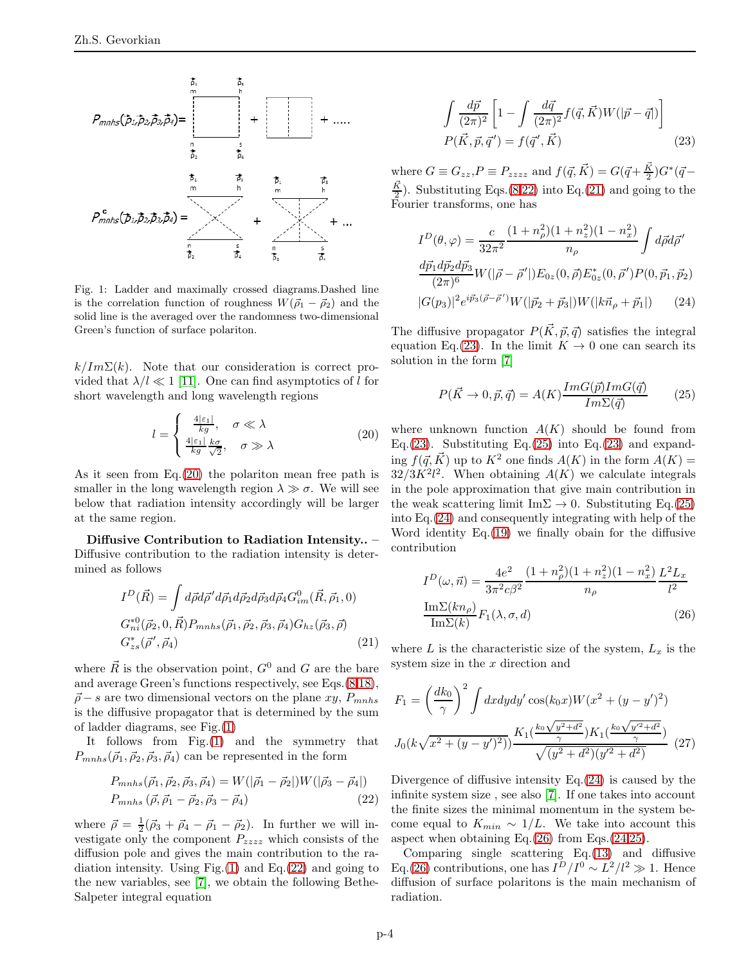

<span id="page-3-1"></span>Fig. 1: Ladder and maximally crossed diagrams.Dashed line is the correlation function of roughness  $W(\vec{\rho}_1 - \vec{\rho}_2)$  and the solid line is the averaged over the randomness two-dimensional Green's function of surface polariton.

 $k/Im\Sigma(k)$ . Note that our consideration is correct provided that  $\lambda / l \ll 1$  [\[11\]](#page-5-9). One can find asymptotics of l for short wavelength and long wavelength regions

<span id="page-3-0"></span>
$$
l = \begin{cases} \frac{4|\varepsilon_1|}{kg}, & \sigma \ll \lambda\\ \frac{4|\varepsilon_1|}{kg} \frac{k\sigma}{\sqrt{2}}, & \sigma \gg \lambda \end{cases}
$$
 (20)

As it seen from Eq.[\(20\)](#page-3-0) the polariton mean free path is smaller in the long wavelength region  $\lambda \gg \sigma$ . We will see below that radiation intensity accordingly will be larger at the same region.

Diffusive Contribution to Radiation Intensity.. – Diffusive contribution to the radiation intensity is determined as follows

<span id="page-3-3"></span>
$$
I^{D}(\vec{R}) = \int d\vec{\rho} d\vec{\rho}' d\vec{\rho}_{1} d\vec{\rho}_{2} d\vec{\rho}_{3} d\vec{\rho}_{4} G_{im}^{0}(\vec{R}, \vec{\rho}_{1}, 0)
$$
  
\n
$$
G_{ni}^{*0}(\vec{\rho}_{2}, 0, \vec{R}) P_{mnhs}(\vec{\rho}_{1}, \vec{\rho}_{2}, \vec{\rho}_{3}, \vec{\rho}_{4}) G_{hz}(\vec{\rho}_{3}, \vec{\rho})
$$
  
\n
$$
G_{zs}^{*}(\vec{\rho}', \vec{\rho}_{4})
$$
\n(21)

where  $\vec{R}$  is the observation point,  $G^0$  and G are the bare and average Green's functions respectively, see Eqs.[\(8](#page-1-2)[,18\)](#page-2-6),  $\vec{\rho}$  – s are two dimensional vectors on the plane xy,  $P_{mnhs}$ is the diffusive propagator that is determined by the sum of ladder diagrams, see Fig.[\(1\)](#page-3-1)

It follows from Fig.[\(1\)](#page-3-1) and the symmetry that  $P_{mnhs}(\vec{\rho}_1, \vec{\rho}_2, \vec{\rho}_3, \vec{\rho}_4)$  can be represented in the form

<span id="page-3-2"></span>
$$
P_{mnhs}(\vec{\rho}_1, \vec{\rho}_2, \vec{\rho}_3, \vec{\rho}_4) = W(|\vec{\rho}_1 - \vec{\rho}_2|)W(|\vec{\rho}_3 - \vec{\rho}_4|)
$$
  
\n
$$
P_{mnhs}(\vec{\rho}, \vec{\rho}_1 - \vec{\rho}_2, \vec{\rho}_3 - \vec{\rho}_4)
$$
\n(22)

where  $\vec{\rho} = \frac{1}{2}(\vec{\rho}_3 + \vec{\rho}_4 - \vec{\rho}_1 - \vec{\rho}_2)$ . In further we will investigate only the component  $P_{zzzz}$  which consists of the diffusion pole and gives the main contribution to the radiation intensity. Using Fig. $(1)$  and Eq. $(22)$  and going to the new variables, see [\[7\]](#page-5-6), we obtain the following Bethe-Salpeter integral equation

<span id="page-3-4"></span>
$$
\int \frac{d\vec{p}}{(2\pi)^2} \left[ 1 - \int \frac{d\vec{q}}{(2\pi)^2} f(\vec{q}, \vec{K}) W(|\vec{p} - \vec{q}|) \right]
$$

$$
P(\vec{K}, \vec{p}, \vec{q}') = f(\vec{q}', \vec{K})
$$
(23)

where  $G \equiv G_{zz}$ ,  $P \equiv P_{zzzz}$  and  $f(\vec{q}, \vec{K}) = G(\vec{q} + \frac{\vec{K}}{2})G^*(\vec{q} - \vec{K})$  $\frac{\vec{K}}{2}$ . Substituting Eqs.[\(8,](#page-1-2)[22\)](#page-3-2) into Eq.[\(21\)](#page-3-3) and going to the Fourier transforms, one has

<span id="page-3-6"></span>
$$
I^{D}(\theta,\varphi) = \frac{c}{32\pi^{2}} \frac{(1+n_{\rho}^{2})(1+n_{z}^{2})(1-n_{x}^{2})}{n_{\rho}} \int d\vec{\rho} d\vec{\rho}'
$$

$$
\frac{d\vec{p_{1}}d\vec{p_{2}}d\vec{p_{3}}}{(2\pi)^{6}} W(|\vec{\rho}-\vec{\rho}'|) E_{0z}(0,\vec{\rho}) E_{0z}^{*}(0,\vec{\rho}') P(0,\vec{p_{1}},\vec{p_{2}})
$$

$$
|G(p_{3})|^{2} e^{i\vec{p_{3}}(\vec{\rho}-\vec{\rho}')} W(|\vec{p_{2}}+\vec{p_{3}}|) W(|k\vec{n}_{\rho}+\vec{p_{1}}|) \qquad (24)
$$

The diffusive propagator  $P(\vec{K}, \vec{p}, \vec{q})$  satisfies the integral equation Eq.[\(23\)](#page-3-4). In the limit  $K \to 0$  one can search its solution in the form [\[7\]](#page-5-6)

<span id="page-3-5"></span>
$$
P(\vec{K} \to 0, \vec{p}, \vec{q}) = A(K) \frac{Im G(\vec{p}) Im G(\vec{q})}{Im \Sigma(\vec{q})}
$$
(25)

where unknown function  $A(K)$  should be found from Eq.[\(23\)](#page-3-4). Substituting Eq.[\(25\)](#page-3-5) into Eq.(23) and expanding  $f(\vec{q}, \vec{K})$  up to  $K^2$  one finds  $A(K)$  in the form  $A(K) =$  $32/3K^2l^2$ . When obtaining  $A(K)$  we calculate integrals in the pole approximation that give main contribution in the weak scattering limit Im $\Sigma \rightarrow 0$ . Substituting Eq.[\(25\)](#page-3-5) into Eq.[\(24\)](#page-3-6) and consequently integrating with help of the Word identity Eq.[\(19\)](#page-2-5) we finally obain for the diffusive contribution

<span id="page-3-7"></span>
$$
I^{D}(\omega, \vec{n}) = \frac{4e^2}{3\pi^2 c\beta^2} \frac{(1 + n_{\rho}^2)(1 + n_z^2)(1 - n_x^2)}{n_{\rho}} \frac{L^2 L_x}{l^2}
$$

$$
\frac{\text{Im}\Sigma(kn_{\rho})}{\text{Im}\Sigma(k)} F_1(\lambda, \sigma, d)
$$
(26)

where L is the characteristic size of the system,  $L_x$  is the system size in the  $x$  direction and

<span id="page-3-8"></span>
$$
F_1 = \left(\frac{dk_0}{\gamma}\right)^2 \int dx dy dy' \cos(k_0 x) W(x^2 + (y - y')^2)
$$

$$
J_0(k\sqrt{x^2 + (y - y')^2}) \frac{K_1(\frac{k_0\sqrt{y^2 + d^2}}{\gamma}) K_1(\frac{k_0\sqrt{y'^2 + d^2}}{\gamma})}{\sqrt{(y^2 + d^2)(y'^2 + d^2)}} \tag{27}
$$

Divergence of diffusive intensity Eq.[\(24\)](#page-3-6) is caused by the infinite system size , see also [\[7\]](#page-5-6). If one takes into account the finite sizes the minimal momentum in the system become equal to  $K_{min} \sim 1/L$ . We take into account this aspect when obtaining Eq.[\(26\)](#page-3-7) from Eqs.[\(24,](#page-3-6)[25\)](#page-3-5).

Comparing single scattering Eq.[\(13\)](#page-2-1) and diffusive Eq.[\(26\)](#page-3-7) contributions, one has  $I^D/I^0 \sim L^2/l^2 \gg 1$ . Hence diffusion of surface polaritons is the main mechanism of radiation.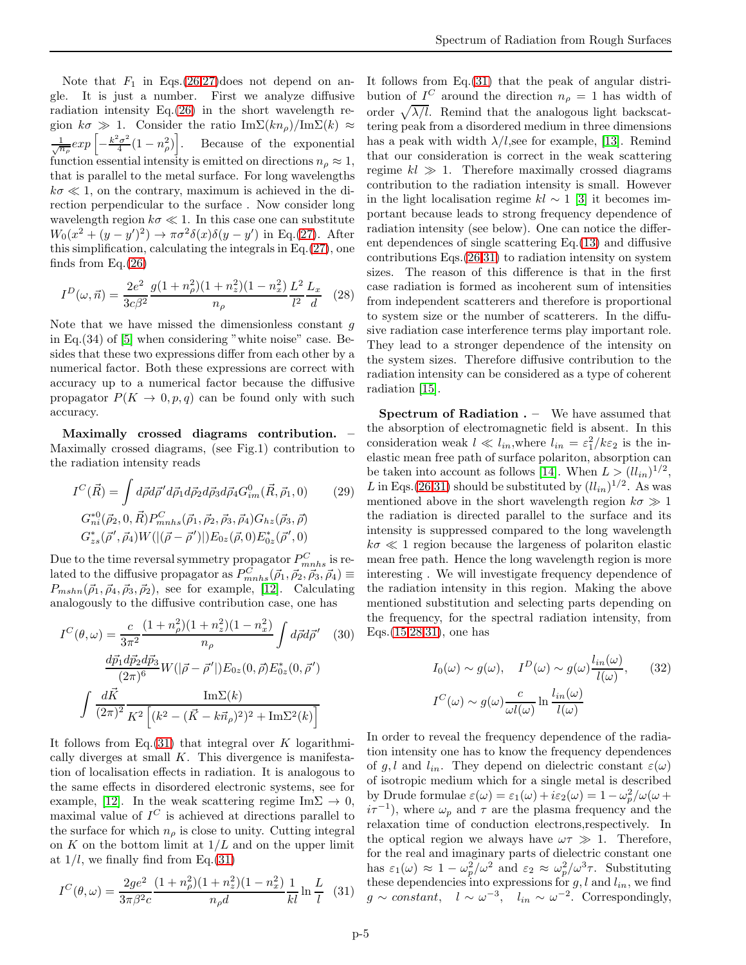Note that  $F_1$  in Eqs.[\(26](#page-3-7)[,27\)](#page-3-8)does not depend on angle. It is just a number. First we analyze diffusive radiation intensity Eq.[\(26\)](#page-3-7) in the short wavelength region  $k\sigma \gg 1$ . Consider the ratio Im $\Sigma(kn_{\rho})/\text{Im}\Sigma(k) \approx$  $\frac{1}{\sqrt{n_\rho}} exp\left[-\frac{k^2\sigma^2}{4}\right]$  $\left[\frac{a^2}{4}(1-n_\rho^2)\right]$ . Because of the exponential function essential intensity is emitted on directions  $n_\rho \approx 1$ , that is parallel to the metal surface. For long wavelengths  $k\sigma \ll 1$ , on the contrary, maximum is achieved in the direction perpendicular to the surface . Now consider long wavelength region  $k\sigma \ll 1$ . In this case one can substitute  $W_0(x^2 + (y - y')^2) \rightarrow \pi \sigma^2 \delta(x) \delta(y - y')$  in Eq.[\(27\)](#page-3-8). After this simplification, calculating the integrals in Eq.[\(27\)](#page-3-8), one finds from Eq.[\(26\)](#page-3-7)

<span id="page-4-1"></span>
$$
I^{D}(\omega, \vec{n}) = \frac{2e^2}{3c\beta^2} \frac{g(1+n_{\rho}^2)(1+n_{z}^2)(1-n_{x}^2)}{n_{\rho}} \frac{L^2}{l^2} \frac{L_x}{d}
$$
 (28)

Note that we have missed the dimensionless constant  $g$ in Eq.(34) of [\[5\]](#page-5-4) when considering "white noise" case. Besides that these two expressions differ from each other by a numerical factor. Both these expressions are correct with accuracy up to a numerical factor because the diffusive propagator  $P(K \to 0, p, q)$  can be found only with such accuracy.

Maximally crossed diagrams contribution. – Maximally crossed diagrams, (see Fig.1) contribution to the radiation intensity reads

$$
I^{C}(\vec{R}) = \int d\vec{\rho} d\vec{\rho}' d\vec{\rho}_{1} d\vec{\rho}_{2} d\vec{\rho}_{3} d\vec{\rho}_{4} G^{0}_{im}(\vec{R}, \vec{\rho}_{1}, 0)
$$
(29)  

$$
G_{ni}^{*0}(\vec{\rho}_{2}, 0, \vec{R}) P^{C}_{mnhs}(\vec{\rho}_{1}, \vec{\rho}_{2}, \vec{\rho}_{3}, \vec{\rho}_{4}) G_{hz}(\vec{\rho}_{3}, \vec{\rho})
$$
  

$$
G_{zs}^{*}(\vec{\rho}', \vec{\rho}_{4}) W(|(\vec{\rho} - \vec{\rho}')|) E_{0z}(\vec{\rho}, 0) E_{0z}^{*}(\vec{\rho}', 0)
$$

Due to the time reversal symmetry propagator  $P_{mnhs}^C$  is related to the diffusive propagator as  $P_{mnhs}^{C}(\vec{\rho}_1, \vec{\rho}_2, \vec{\rho}_3, \vec{\rho}_4) \equiv$  $P_{mshn}(\vec{\rho}_1, \vec{\rho}_4, \vec{\rho}_3, \vec{\rho}_2)$ , see for example, [\[12\]](#page-5-10). Calculating analogously to the diffusive contribution case, one has

<span id="page-4-0"></span>
$$
I^{C}(\theta,\omega) = \frac{c}{3\pi^{2}} \frac{(1+n_{\rho}^{2})(1+n_{z}^{2})(1-n_{x}^{2})}{n_{\rho}} \int d\vec{\rho} d\vec{\rho}' \quad (30)
$$

$$
\frac{d\vec{p}_{1}d\vec{p}_{2}d\vec{p}_{3}}{(2\pi)^{6}} W(|\vec{\rho}-\vec{\rho}'|) E_{0z}(0,\vec{\rho}) E_{0z}^{*}(0,\vec{\rho}')
$$

$$
\int \frac{d\vec{K}}{(2\pi)^{2}} \frac{\text{Im}\Sigma(k)}{K^{2} \left[ (k^{2} - (\vec{K} - k\vec{n}_{\rho})^{2})^{2} + \text{Im}\Sigma^{2}(k) \right]}
$$

It follows from Eq.[\(31\)](#page-4-0) that integral over K logarithmically diverges at small  $K$ . This divergence is manifestation of localisation effects in radiation. It is analogous to the same effects in disordered electronic systems, see for example, [\[12\]](#page-5-10). In the weak scattering regime Im $\Sigma \to 0$ , maximal value of  $I^C$  is achieved at directions parallel to the surface for which  $n_{\rho}$  is close to unity. Cutting integral on  $K$  on the bottom limit at  $1/L$  and on the upper limit at  $1/l$ , we finally find from Eq.[\(31\)](#page-4-0)

<span id="page-4-2"></span>
$$
I^{C}(\theta,\omega) = \frac{2ge^{2}}{3\pi\beta^{2}c} \frac{(1+n_{\rho}^{2})(1+n_{z}^{2})(1-n_{x}^{2})}{n_{\rho}d} \frac{1}{kl} \ln\frac{L}{l} \quad (31)
$$

It follows from Eq.[\(31\)](#page-4-0) that the peak of angular distribution of  $I^C$  around the direction  $n_\rho = 1$  has width of order  $\sqrt{\lambda/l}$ . Remind that the analogous light backscattering peak from a disordered medium in three dimensions has a peak with width  $\lambda/l$ , see for example, [\[13\]](#page-5-11). Remind that our consideration is correct in the weak scattering regime  $kl \gg 1$ . Therefore maximally crossed diagrams contribution to the radiation intensity is small. However in the light localisation regime  $kl \sim 1$  [\[3\]](#page-5-2) it becomes important because leads to strong frequency dependence of radiation intensity (see below). One can notice the different dependences of single scattering Eq.[\(13\)](#page-2-1) and diffusive contributions Eqs.[\(26,](#page-3-7)[31\)](#page-4-0) to radiation intensity on system sizes. The reason of this difference is that in the first case radiation is formed as incoherent sum of intensities from independent scatterers and therefore is proportional to system size or the number of scatterers. In the diffusive radiation case interference terms play important role. They lead to a stronger dependence of the intensity on the system sizes. Therefore diffusive contribution to the radiation intensity can be considered as a type of coherent radiation [\[15\]](#page-5-12).

Spectrum of Radiation . – We have assumed that the absorption of electromagnetic field is absent. In this consideration weak  $l \ll l_{in}$ , where  $l_{in} = \varepsilon_1^2 / k \varepsilon_2$  is the inelastic mean free path of surface polariton, absorption can be taken into account as follows [\[14\]](#page-5-13). When  $L > (ll_{in})^{1/2}$ , L in Eqs.[\(26](#page-3-7)[,31\)](#page-4-0) should be substituted by  $(l l_{in})^{1/2}$ . As was mentioned above in the short wavelength region  $k\sigma \gg 1$ the radiation is directed parallel to the surface and its intensity is suppressed compared to the long wavelength  $k\sigma \ll 1$  region because the largeness of polariton elastic mean free path. Hence the long wavelength region is more interesting . We will investigate frequency dependence of the radiation intensity in this region. Making the above mentioned substitution and selecting parts depending on the frequency, for the spectral radiation intensity, from Eqs.[\(15](#page-2-7)[,28](#page-4-1)[,31\)](#page-4-2), one has

<span id="page-4-3"></span>
$$
I_0(\omega) \sim g(\omega), \quad I^D(\omega) \sim g(\omega) \frac{l_{in}(\omega)}{l(\omega)}, \quad (32)
$$

$$
I^C(\omega) \sim g(\omega) \frac{c}{\omega l(\omega)} \ln \frac{l_{in}(\omega)}{l(\omega)}
$$

In order to reveal the frequency dependence of the radiation intensity one has to know the frequency dependences of g, l and  $l_{in}$ . They depend on dielectric constant  $\varepsilon(\omega)$ of isotropic medium which for a single metal is described by Drude formulae  $\varepsilon(\omega) = \varepsilon_1(\omega) + i\varepsilon_2(\omega) = 1 - \omega_p^2/\omega(\omega +$  $i\tau^{-1}$ , where  $\omega_p$  and  $\tau$  are the plasma frequency and the relaxation time of conduction electrons,respectively. In the optical region we always have  $\omega \tau \gg 1$ . Therefore, for the real and imaginary parts of dielectric constant one has  $\varepsilon_1(\omega) \approx 1 - \omega_p^2/\omega^2$  and  $\varepsilon_2 \approx \omega_p^2/\omega^3 \tau$ . Substituting these dependencies into expressions for  $g, l$  and  $l_{in}$ , we find  $g \sim constant$ ,  $l \sim \omega^{-3}$ ,  $l_{in} \sim \omega^{-2}$ . Correspondingly,